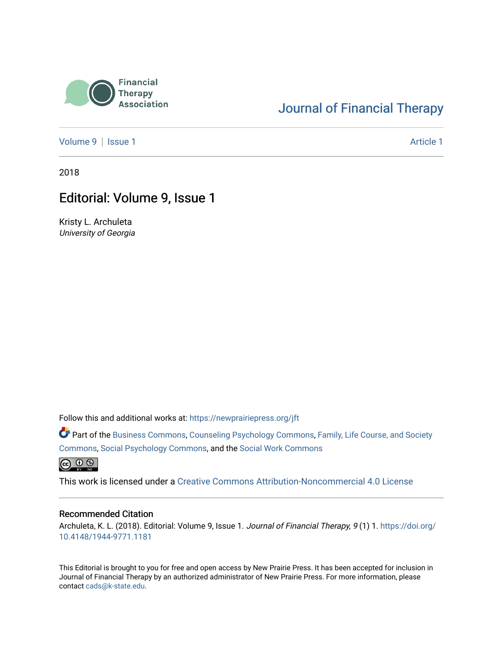

## [Journal of Financial Therapy](https://newprairiepress.org/jft)

[Volume 9](https://newprairiepress.org/jft/vol9) | [Issue 1](https://newprairiepress.org/jft/vol9/iss1) Article 1

2018

### Editorial: Volume 9, Issue 1

Kristy L. Archuleta University of Georgia

Follow this and additional works at: [https://newprairiepress.org/jft](https://newprairiepress.org/jft?utm_source=newprairiepress.org%2Fjft%2Fvol9%2Fiss1%2F1&utm_medium=PDF&utm_campaign=PDFCoverPages)

Part of the [Business Commons](http://network.bepress.com/hgg/discipline/622?utm_source=newprairiepress.org%2Fjft%2Fvol9%2Fiss1%2F1&utm_medium=PDF&utm_campaign=PDFCoverPages), [Counseling Psychology Commons,](http://network.bepress.com/hgg/discipline/1044?utm_source=newprairiepress.org%2Fjft%2Fvol9%2Fiss1%2F1&utm_medium=PDF&utm_campaign=PDFCoverPages) [Family, Life Course, and Society](http://network.bepress.com/hgg/discipline/419?utm_source=newprairiepress.org%2Fjft%2Fvol9%2Fiss1%2F1&utm_medium=PDF&utm_campaign=PDFCoverPages)  [Commons](http://network.bepress.com/hgg/discipline/419?utm_source=newprairiepress.org%2Fjft%2Fvol9%2Fiss1%2F1&utm_medium=PDF&utm_campaign=PDFCoverPages), [Social Psychology Commons,](http://network.bepress.com/hgg/discipline/414?utm_source=newprairiepress.org%2Fjft%2Fvol9%2Fiss1%2F1&utm_medium=PDF&utm_campaign=PDFCoverPages) and the [Social Work Commons](http://network.bepress.com/hgg/discipline/713?utm_source=newprairiepress.org%2Fjft%2Fvol9%2Fiss1%2F1&utm_medium=PDF&utm_campaign=PDFCoverPages) 

 $\bigcirc$   $\bigcirc$   $\bigcirc$ 

This work is licensed under a [Creative Commons Attribution-Noncommercial 4.0 License](https://creativecommons.org/licenses/by-nc/4.0/)

#### Recommended Citation

Archuleta, K. L. (2018). Editorial: Volume 9, Issue 1. Journal of Financial Therapy, 9 (1) 1. [https://doi.org/](https://doi.org/10.4148/1944-9771.1181) [10.4148/1944-9771.1181](https://doi.org/10.4148/1944-9771.1181)

This Editorial is brought to you for free and open access by New Prairie Press. It has been accepted for inclusion in Journal of Financial Therapy by an authorized administrator of New Prairie Press. For more information, please contact [cads@k-state.edu](mailto:cads@k-state.edu).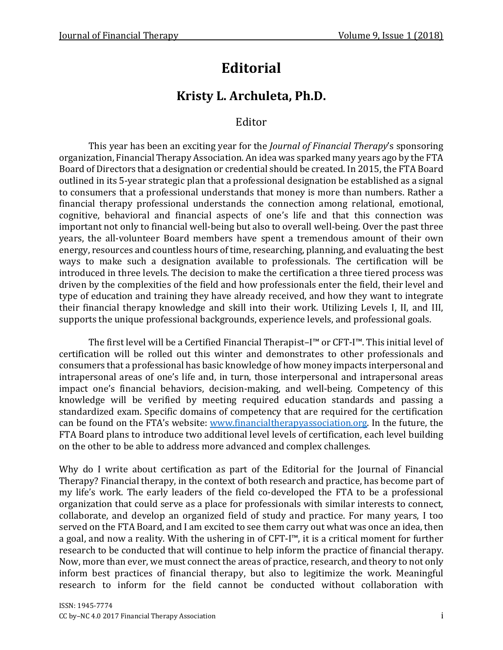# **Editorial**

## **Kristy L. Archuleta, Ph.D.**

### Editor

This year has been an exciting year for the *Journal of Financial Therapy*'s sponsoring organization, Financial Therapy Association. An idea was sparked many years ago by the FTA Board of Directors that a designation or credential should be created. In 2015, the FTA Board outlined in its 5-year strategic plan that a professional designation be established as a signal to consumers that a professional understands that money is more than numbers. Rather a financial therapy professional understands the connection among relational, emotional, cognitive, behavioral and financial aspects of one's life and that this connection was important not only to financial well-being but also to overall well-being. Over the past three years, the all-volunteer Board members have spent a tremendous amount of their own energy, resources and countless hours of time, researching, planning, and evaluating the best ways to make such a designation available to professionals. The certification will be introduced in three levels. The decision to make the certification a three tiered process was driven by the complexities of the field and how professionals enter the field, their level and type of education and training they have already received, and how they want to integrate their financial therapy knowledge and skill into their work. Utilizing Levels I, II, and III, supports the unique professional backgrounds, experience levels, and professional goals.

The first level will be a Certified Financial Therapist–I™ or CFT-I™. This initial level of certification will be rolled out this winter and demonstrates to other professionals and consumers that a professional has basic knowledge of how money impacts interpersonal and intrapersonal areas of one's life and, in turn, those interpersonal and intrapersonal areas impact one's financial behaviors, decision-making, and well-being. Competency of this knowledge will be verified by meeting required education standards and passing a standardized exam. Specific domains of competency that are required for the certification can be found on the FTA's website: [www.financialtherapyassociation.org.](http://www.financialtherapyassociation.org/) In the future, the FTA Board plans to introduce two additional level levels of certification, each level building on the other to be able to address more advanced and complex challenges.

Why do I write about certification as part of the Editorial for the Journal of Financial Therapy? Financial therapy, in the context of both research and practice, has become part of my life's work. The early leaders of the field co-developed the FTA to be a professional organization that could serve as a place for professionals with similar interests to connect, collaborate, and develop an organized field of study and practice. For many years, I too served on the FTA Board, and I am excited to see them carry out what was once an idea, then a goal, and now a reality. With the ushering in of CFT-I™, it is a critical moment for further research to be conducted that will continue to help inform the practice of financial therapy. Now, more than ever, we must connect the areas of practice, research, and theory to not only inform best practices of financial therapy, but also to legitimize the work. Meaningful research to inform for the field cannot be conducted without collaboration with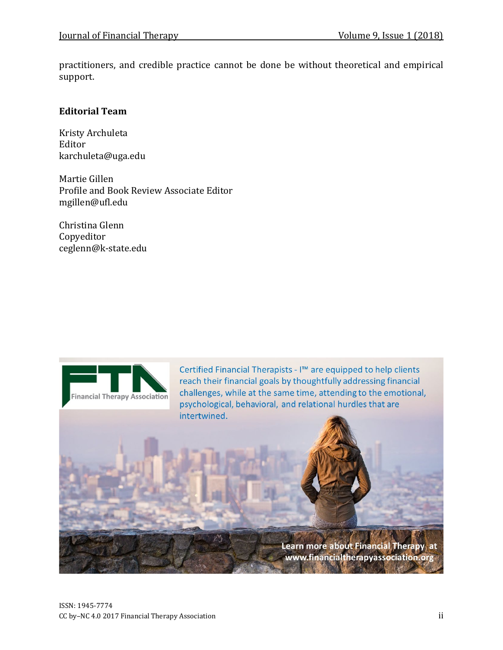practitioners, and credible practice cannot be done be without theoretical and empirical support.

#### **Editorial Team**

Kristy Archuleta Editor karchuleta@uga.edu

Martie Gillen Profile and Book Review Associate Editor mgillen@ufl.edu

Christina Glenn Copyeditor ceglenn@k-state.edu



Certified Financial Therapists - I<sup>™</sup> are equipped to help clients reach their financial goals by thoughtfully addressing financial challenges, while at the same time, attending to the emotional, psychological, behavioral, and relational hurdles that are intertwined.

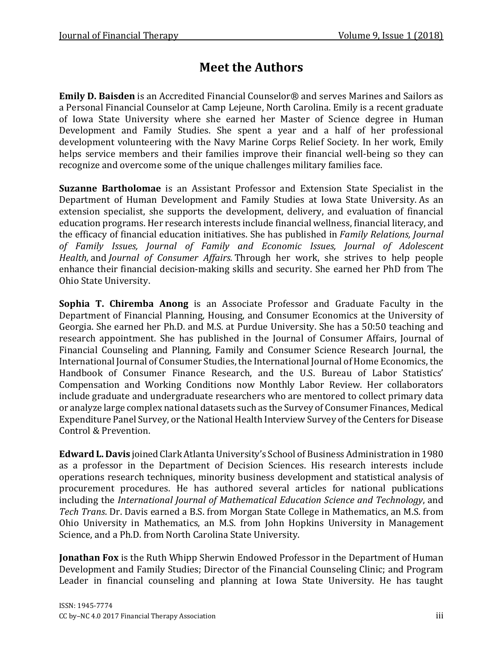### **Meet the Authors**

**Emily D. Baisden** is an Accredited Financial Counselor® and serves Marines and Sailors as a Personal Financial Counselor at Camp Lejeune, North Carolina. Emily is a recent graduate of Iowa State University where she earned her Master of Science degree in Human Development and Family Studies. She spent a year and a half of her professional development volunteering with the Navy Marine Corps Relief Society. In her work, Emily helps service members and their families improve their financial well-being so they can recognize and overcome some of the unique challenges military families face.

**Suzanne Bartholomae** is an Assistant Professor and Extension State Specialist in the Department of Human Development and Family Studies at Iowa State University. As an extension specialist, she supports the development, delivery, and evaluation of financial education programs. Her research interests include financial wellness, financial literacy, and the efficacy of financial education initiatives. She has published in *Family Relations, Journal of Family Issues, Journal of Family and Economic Issues, Journal of Adolescent Health,* and *Journal of Consumer Affairs.* Through her work, she strives to help people enhance their financial decision-making skills and security. She earned her PhD from The Ohio State University.

**Sophia T. Chiremba Anong** is an Associate Professor and Graduate Faculty in the Department of Financial Planning, Housing, and Consumer Economics at the University of Georgia. She earned her Ph.D. and M.S. at Purdue University. She has a 50:50 teaching and research appointment. She has published in the Journal of Consumer Affairs, Journal of Financial Counseling and Planning, Family and Consumer Science Research Journal, the International Journal of Consumer Studies, the International Journal of Home Economics, the Handbook of Consumer Finance Research, and the U.S. Bureau of Labor Statistics' Compensation and Working Conditions now Monthly Labor Review. Her collaborators include graduate and undergraduate researchers who are mentored to collect primary data or analyze large complex national datasets such as the Survey of Consumer Finances, Medical Expenditure Panel Survey, or the National Health Interview Survey of the Centers for Disease Control & Prevention.

**Edward L. Davis** joined Clark Atlanta University's School of Business Administration in 1980 as a professor in the Department of Decision Sciences. His research interests include operations research techniques, minority business development and statistical analysis of procurement procedures. He has authored several articles for national publications including the *International Journal of Mathematical Education Science and Technology*, and *Tech Trans*. Dr. Davis earned a B.S. from Morgan State College in Mathematics, an M.S. from Ohio University in Mathematics, an M.S. from John Hopkins University in Management Science, and a Ph.D. from North Carolina State University.

**Jonathan Fox** is the Ruth Whipp Sherwin Endowed Professor in the Department of Human Development and Family Studies; Director of the Financial Counseling Clinic; and Program Leader in financial counseling and planning at Iowa State University. He has taught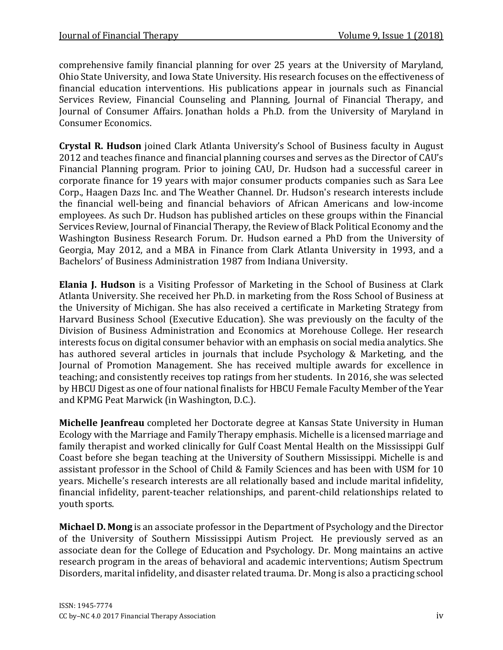comprehensive family financial planning for over 25 years at the University of Maryland, Ohio State University, and Iowa State University. His research focuses on the effectiveness of financial education interventions. His publications appear in journals such as Financial Services Review, Financial Counseling and Planning, Journal of Financial Therapy, and Journal of Consumer Affairs. Jonathan holds a Ph.D. from the University of Maryland in Consumer Economics.

**Crystal R. Hudson** joined Clark Atlanta University's School of Business faculty in August 2012 and teaches finance and financial planning courses and serves as the Director of CAU's Financial Planning program. Prior to joining CAU, Dr. Hudson had a successful career in corporate finance for 19 years with major consumer products companies such as Sara Lee Corp., Haagen Dazs Inc. and The Weather Channel. Dr. Hudson's research interests include the financial well-being and financial behaviors of African Americans and low-income employees. As such Dr. Hudson has published articles on these groups within the Financial Services Review, Journal of Financial Therapy, the Review of Black Political Economy and the Washington Business Research Forum. Dr. Hudson earned a PhD from the University of Georgia, May 2012, and a MBA in Finance from Clark Atlanta University in 1993, and a Bachelors' of Business Administration 1987 from Indiana University.

**Elania J. Hudson** is a Visiting Professor of Marketing in the School of Business at Clark Atlanta University. She received her Ph.D. in marketing from the Ross School of Business at the University of Michigan. She has also received a certificate in Marketing Strategy from Harvard Business School (Executive Education). She was previously on the faculty of the Division of Business Administration and Economics at Morehouse College. Her research interests focus on digital consumer behavior with an emphasis on social media analytics. She has authored several articles in journals that include Psychology & Marketing, and the Journal of Promotion Management. She has received multiple awards for excellence in teaching; and consistently receives top ratings from her students. In 2016, she was selected by HBCU Digest as one of four national finalists for HBCU Female Faculty Member of the Year and KPMG Peat Marwick (in Washington, D.C.).

**Michelle Jeanfreau** completed her Doctorate degree at Kansas State University in Human Ecology with the Marriage and Family Therapy emphasis. Michelle is a licensed marriage and family therapist and worked clinically for Gulf Coast Mental Health on the Mississippi Gulf Coast before she began teaching at the University of Southern Mississippi. Michelle is and assistant professor in the School of Child & Family Sciences and has been with USM for 10 years. Michelle's research interests are all relationally based and include marital infidelity, financial infidelity, parent-teacher relationships, and parent-child relationships related to youth sports.

**Michael D. Mong** is an associate professor in the Department of Psychology and the Director of the University of Southern Mississippi Autism Project. He previously served as an associate dean for the College of Education and Psychology. Dr. Mong maintains an active research program in the areas of behavioral and academic interventions; Autism Spectrum Disorders, marital infidelity, and disaster related trauma. Dr. Mong is also a practicing school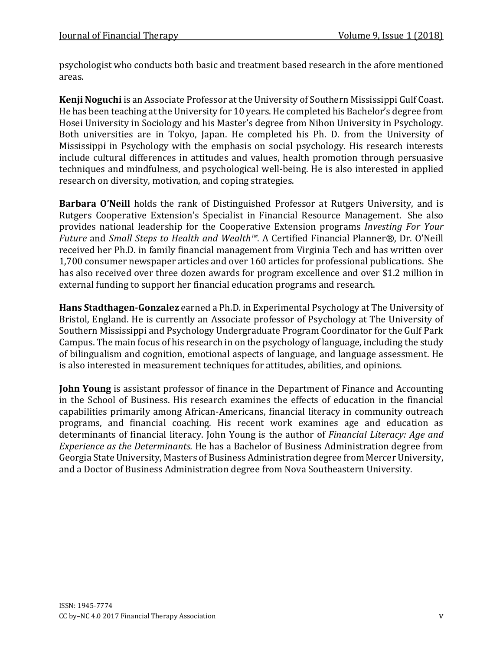psychologist who conducts both basic and treatment based research in the afore mentioned areas.

**Kenji Noguchi** is an Associate Professor at the University of Southern Mississippi Gulf Coast. He has been teaching at the University for 10 years. He completed his Bachelor's degree from Hosei University in Sociology and his Master's degree from Nihon University in Psychology. Both universities are in Tokyo, Japan. He completed his Ph. D. from the University of Mississippi in Psychology with the emphasis on social psychology. His research interests include cultural differences in attitudes and values, health promotion through persuasive techniques and mindfulness, and psychological well-being. He is also interested in applied research on diversity, motivation, and coping strategies.

**Barbara O'Neill** holds the rank of Distinguished Professor at Rutgers University, and is Rutgers Cooperative Extension's Specialist in Financial Resource Management. She also provides national leadership for the Cooperative Extension programs *Investing For Your Future* and *Small Steps to Health and Wealth™*. A Certified Financial Planner®, Dr. O'Neill received her Ph.D. in family financial management from Virginia Tech and has written over 1,700 consumer newspaper articles and over 160 articles for professional publications. She has also received over three dozen awards for program excellence and over \$1.2 million in external funding to support her financial education programs and research.

**Hans Stadthagen-Gonzalez** earned a Ph.D. in Experimental Psychology at The University of Bristol, England. He is currently an Associate professor of Psychology at The University of Southern Mississippi and Psychology Undergraduate Program Coordinator for the Gulf Park Campus. The main focus of his research in on the psychology of language, including the study of bilingualism and cognition, emotional aspects of language, and language assessment. He is also interested in measurement techniques for attitudes, abilities, and opinions.

**John Young** is assistant professor of finance in the Department of Finance and Accounting in the School of Business. His research examines the effects of education in the financial capabilities primarily among African-Americans, financial literacy in community outreach programs, and financial coaching. His recent work examines age and education as determinants of financial literacy. John Young is the author of *Financial Literacy: Age and Experience as the Determinants.* He has a Bachelor of Business Administration degree from Georgia State University, Masters of Business Administration degree from Mercer University, and a Doctor of Business Administration degree from Nova Southeastern University.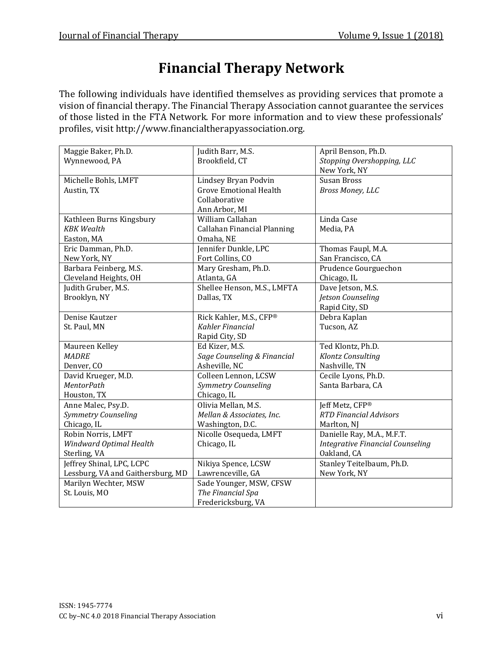# **Financial Therapy Network**

The following individuals have identified themselves as providing services that promote a vision of financial therapy. The Financial Therapy Association cannot guarantee the services of those listed in the FTA Network. For more information and to view these professionals' profiles, visit http://www.financialtherapyassociation.org.

| Maggie Baker, Ph.D.               | Judith Barr, M.S.             | April Benson, Ph.D.                     |
|-----------------------------------|-------------------------------|-----------------------------------------|
| Wynnewood, PA                     | Brookfield, CT                | Stopping Overshopping, LLC              |
|                                   |                               | New York, NY                            |
| Michelle Bohls, LMFT              | Lindsey Bryan Podvin          | <b>Susan Bross</b>                      |
| Austin, TX                        | <b>Grove Emotional Health</b> | Bross Money, LLC                        |
|                                   | Collaborative                 |                                         |
|                                   | Ann Arbor, MI                 |                                         |
| Kathleen Burns Kingsbury          | William Callahan              | Linda Case                              |
| <b>KBK</b> Wealth                 | Callahan Financial Planning   | Media, PA                               |
| Easton, MA                        | Omaha, NE                     |                                         |
| Eric Damman, Ph.D.                | Jennifer Dunkle, LPC          | Thomas Faupl, M.A.                      |
| New York, NY                      | Fort Collins, CO              | San Francisco, CA                       |
| Barbara Feinberg, M.S.            | Mary Gresham, Ph.D.           | Prudence Gourguechon                    |
| Cleveland Heights, OH             | Atlanta, GA                   | Chicago, IL                             |
| Judith Gruber, M.S.               | Shellee Henson, M.S., LMFTA   | Dave Jetson, M.S.                       |
| Brooklyn, NY                      | Dallas, TX                    | Jetson Counseling                       |
|                                   |                               | Rapid City, SD                          |
| Denise Kautzer                    | Rick Kahler, M.S., CFP®       | Debra Kaplan                            |
| St. Paul, MN                      | Kahler Financial              | Tucson, AZ                              |
|                                   | Rapid City, SD                |                                         |
| Maureen Kelley                    | Ed Kizer, M.S.                | Ted Klontz, Ph.D.                       |
| <b>MADRE</b>                      | Sage Counseling & Financial   | Klontz Consulting                       |
| Denver, CO                        | Asheville, NC                 | Nashville, TN                           |
| David Krueger, M.D.               | Colleen Lennon, LCSW          | Cecile Lyons, Ph.D.                     |
| <b>MentorPath</b>                 | Symmetry Counseling           | Santa Barbara, CA                       |
| Houston, TX                       | Chicago, IL                   |                                         |
| Anne Malec, Psy.D.                | Olivia Mellan, M.S.           | Jeff Metz, CFP®                         |
| Symmetry Counseling               | Mellan & Associates, Inc.     | <b>RTD Financial Advisors</b>           |
| Chicago, IL                       | Washington, D.C.              | Marlton, NJ                             |
| Robin Norris, LMFT                | Nicolle Osequeda, LMFT        | Danielle Ray, M.A., M.F.T.              |
| Windward Optimal Health           | Chicago, IL                   | <b>Integrative Financial Counseling</b> |
| Sterling, VA                      |                               | Oakland, CA                             |
| Jeffrey Shinal, LPC, LCPC         | Nikiya Spence, LCSW           | Stanley Teitelbaum, Ph.D.               |
| Lessburg, VA and Gaithersburg, MD | Lawrenceville, GA             | New York, NY                            |
| Marilyn Wechter, MSW              | Sade Younger, MSW, CFSW       |                                         |
| St. Louis, MO                     | The Financial Spa             |                                         |
|                                   | Fredericksburg, VA            |                                         |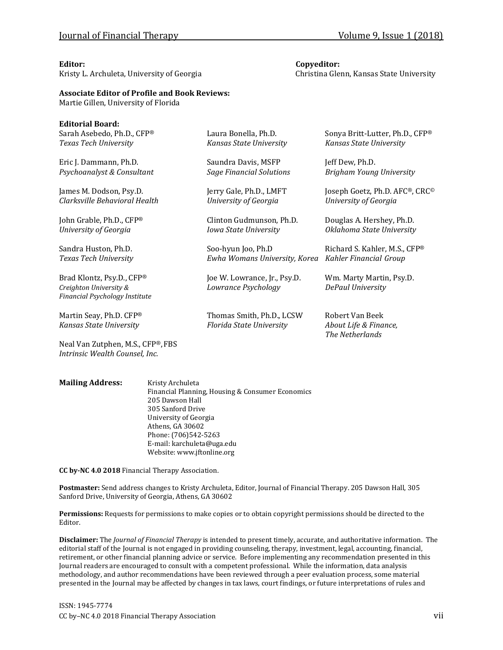#### **Editor: Copyeditor:**

Kristy L. Archuleta, University of Georgia Christina Glenn, Kansas State University

**Associate Editor of Profile and Book Reviews:**

Martie Gillen, University of Florida

| <b>Editorial Board:</b>           |                                 |                                          |
|-----------------------------------|---------------------------------|------------------------------------------|
| Sarah Asebedo, Ph.D., CFP®        | Laura Bonella, Ph.D.            | Sonya Britt-Lutter, Ph.D., CFP®          |
| Texas Tech University             | Kansas State University         | Kansas State University                  |
| Eric J. Dammann, Ph.D.            | Saundra Davis, MSFP             | Jeff Dew, Ph.D.                          |
| Psychoanalyst & Consultant        | <b>Sage Financial Solutions</b> | Brigham Young University                 |
| James M. Dodson, Psy.D.           | Jerry Gale, Ph.D., LMFT         | Joseph Goetz, Ph.D. AFC®, CRC®           |
| Clarksville Behavioral Health     | University of Georgia           | University of Georgia                    |
| John Grable, Ph.D., CFP®          | Clinton Gudmunson, Ph.D.        | Douglas A. Hershey, Ph.D.                |
| University of Georgia             | Iowa State University           | Oklahoma State University                |
| Sandra Huston, Ph.D.              | Soo-hyun Joo, Ph.D              | Richard S. Kahler, M.S., CFP®            |
| Texas Tech University             | Ewha Womans University, Korea   | Kahler Financial Group                   |
| Brad Klontz, Psy.D., CFP®         | Joe W. Lowrance, Jr., Psy.D.    | Wm. Marty Martin, Psy.D.                 |
| Creighton University &            | Lowrance Psychology             | DePaul University                        |
| Financial Psychology Institute    |                                 |                                          |
| Martin Seay, Ph.D. CFP®           | Thomas Smith, Ph.D., LCSW       | Robert Van Beek                          |
| Kansas State University           | Florida State University        | About Life & Finance,<br>The Netherlands |
| Neal Van Zutphen, M.S., CFP®, FBS |                                 |                                          |
| Intrinsic Wealth Counsel, Inc.    |                                 |                                          |

**Mailing Address:** Kristy Archuleta Financial Planning, Housing & Consumer Economics 205 Dawson Hall 305 Sanford Drive University of Georgia Athens, GA 30602 Phone: (706)542-5263 E-mail: karchuleta@uga.edu Website: www.jftonline.org

**CC by-NC 4.0 2018** Financial Therapy Association.

**Postmaster:** Send address changes to Kristy Archuleta, Editor, Journal of Financial Therapy. 205 Dawson Hall, 305 Sanford Drive, University of Georgia, Athens, GA 30602

**Permissions:** Requests for permissions to make copies or to obtain copyright permissions should be directed to the Editor.

**Disclaimer:** The *Journal of Financial Therapy* is intended to present timely, accurate, and authoritative information. The editorial staff of the Journal is not engaged in providing counseling, therapy, investment, legal, accounting, financial, retirement, or other financial planning advice or service. Before implementing any recommendation presented in this Journal readers are encouraged to consult with a competent professional. While the information, data analysis methodology, and author recommendations have been reviewed through a peer evaluation process, some material presented in the Journal may be affected by changes in tax laws, court findings, or future interpretations of rules and